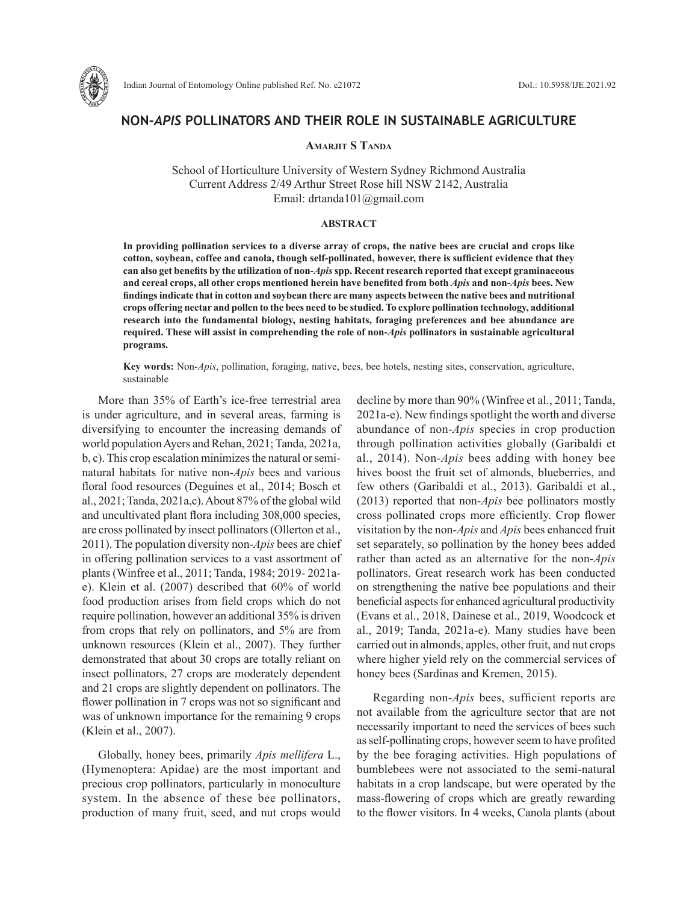

# **NON-***APIS* **POLLINATORS AND THEIR ROLE IN SUSTAINABLE AGRICULTURE**

## **Amarjit S Tanda**

School of Horticulture University of Western Sydney Richmond Australia Current Address 2/49 Arthur Street Rose hill NSW 2142, Australia Email: drtanda101@gmail.com

#### **ABSTRACT**

**In providing pollination services to a diverse array of crops, the native bees are crucial and crops like cotton, soybean, coffee and canola, though self-pollinated, however, there is sufficient evidence that they can also get benefits by the utilization of non-***Apis* **spp. Recent research reported that except graminaceous and cereal crops, all other crops mentioned herein have benefited from both** *Apis* **and non-***Apis* **bees. New findings indicate that in cotton and soybean there are many aspects between the native bees and nutritional crops offering nectar and pollen to the bees need to be studied. To explore pollination technology, additional research into the fundamental biology, nesting habitats, foraging preferences and bee abundance are required. These will assist in comprehending the role of non-***Apis* **pollinators in sustainable agricultural programs.**

**Key words:** Non-*Apis*, pollination, foraging, native, bees, bee hotels, nesting sites, conservation, agriculture, sustainable

More than 35% of Earth's ice-free terrestrial area is under agriculture, and in several areas, farming is diversifying to encounter the increasing demands of world population Ayers and Rehan, 2021; Tanda, 2021a, b, c). This crop escalation minimizes the natural or seminatural habitats for native non-*Apis* bees and various floral food resources (Deguines et al., 2014; Bosch et al., 2021; Tanda, 2021a,c). About 87% of the global wild and uncultivated plant flora including 308,000 species, are cross pollinated by insect pollinators (Ollerton et al., 2011). The population diversity non-*Apis* bees are chief in offering pollination services to a vast assortment of plants (Winfree et al., 2011; Tanda, 1984; 2019- 2021ae). Klein et al. (2007) described that 60% of world food production arises from field crops which do not require pollination, however an additional 35% is driven from crops that rely on pollinators, and 5% are from unknown resources (Klein et al., 2007). They further demonstrated that about 30 crops are totally reliant on insect pollinators, 27 crops are moderately dependent and 21 crops are slightly dependent on pollinators. The flower pollination in 7 crops was not so significant and was of unknown importance for the remaining 9 crops (Klein et al., 2007).

Globally, honey bees, primarily *Apis mellifera* L., (Hymenoptera: Apidae) are the most important and precious crop pollinators, particularly in monoculture system. In the absence of these bee pollinators, production of many fruit, seed, and nut crops would

decline by more than 90% (Winfree et al., 2011; Tanda, 2021a-e). New findings spotlight the worth and diverse abundance of non-*Apis* species in crop production through pollination activities globally (Garibaldi et al., 2014). Non-*Apis* bees adding with honey bee hives boost the fruit set of almonds, blueberries, and few others (Garibaldi et al., 2013). Garibaldi et al., (2013) reported that non-*Apis* bee pollinators mostly cross pollinated crops more efficiently. Crop flower visitation by the non-*Apis* and *Apis* bees enhanced fruit set separately, so pollination by the honey bees added rather than acted as an alternative for the non-*Apis* pollinators. Great research work has been conducted on strengthening the native bee populations and their beneficial aspects for enhanced agricultural productivity (Evans et al., 2018, Dainese et al., 2019, Woodcock et al., 2019; Tanda, 2021a-e). Many studies have been carried out in almonds, apples, other fruit, and nut crops where higher yield rely on the commercial services of honey bees (Sardinas and Kremen, 2015).

Regarding non-*Apis* bees, sufficient reports are not available from the agriculture sector that are not necessarily important to need the services of bees such as self-pollinating crops, however seem to have profited by the bee foraging activities. High populations of bumblebees were not associated to the semi-natural habitats in a crop landscape, but were operated by the mass-flowering of crops which are greatly rewarding to the flower visitors. In 4 weeks, Canola plants (about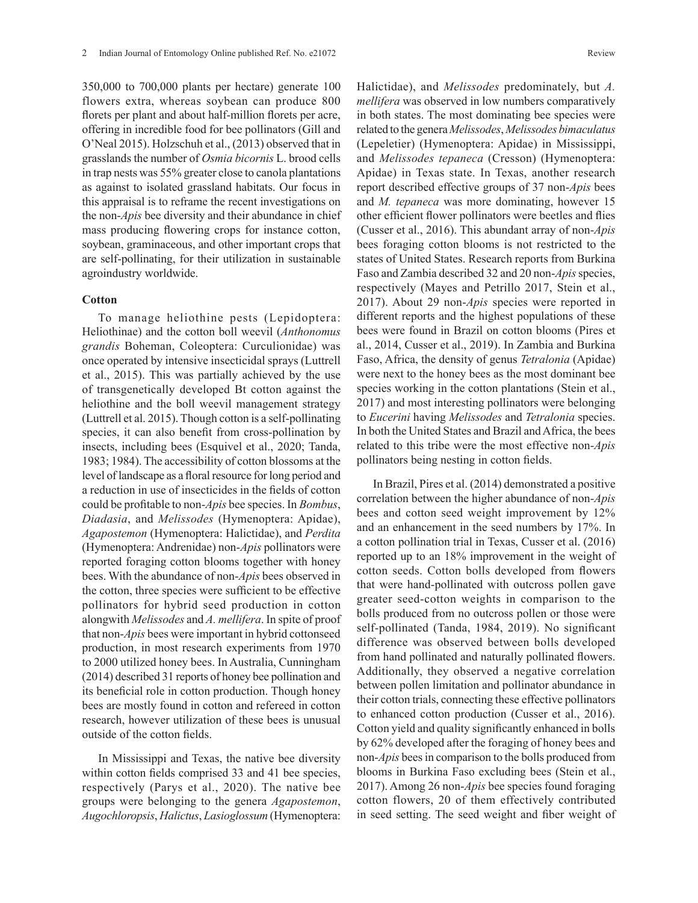350,000 to 700,000 plants per hectare) generate 100 flowers extra, whereas soybean can produce 800 florets per plant and about half-million florets per acre, offering in incredible food for bee pollinators (Gill and O'Neal 2015). Holzschuh et al., (2013) observed that in grasslands the number of *Osmia bicornis* L. brood cells in trap nests was 55% greater close to canola plantations as against to isolated grassland habitats. Our focus in this appraisal is to reframe the recent investigations on the non-*Apis* bee diversity and their abundance in chief mass producing flowering crops for instance cotton, soybean, graminaceous, and other important crops that are self-pollinating, for their utilization in sustainable agroindustry worldwide.

## **Cotton**

To manage heliothine pests (Lepidoptera: Heliothinae) and the cotton boll weevil (*Anthonomus grandis* Boheman, Coleoptera: Curculionidae) was once operated by intensive insecticidal sprays (Luttrell et al., 2015). This was partially achieved by the use of transgenetically developed Bt cotton against the heliothine and the boll weevil management strategy (Luttrell et al. 2015). Though cotton is a self-pollinating species, it can also benefit from cross-pollination by insects, including bees (Esquivel et al., 2020; Tanda, 1983; 1984). The accessibility of cotton blossoms at the level of landscape as a floral resource for long period and a reduction in use of insecticides in the fields of cotton could be profitable to non-*Apis* bee species. In *Bombus*, *Diadasia*, and *Melissodes* (Hymenoptera: Apidae), *Agapostemon* (Hymenoptera: Halictidae), and *Perdita* (Hymenoptera: Andrenidae) non-*Apis* pollinators were reported foraging cotton blooms together with honey bees. With the abundance of non-*Apis* bees observed in the cotton, three species were sufficient to be effective pollinators for hybrid seed production in cotton alongwith *Melissodes* and *A. mellifera*. In spite of proof that non-*Apis* bees were important in hybrid cottonseed production, in most research experiments from 1970 to 2000 utilized honey bees. In Australia, Cunningham (2014) described 31 reports of honey bee pollination and its beneficial role in cotton production. Though honey bees are mostly found in cotton and refereed in cotton research, however utilization of these bees is unusual outside of the cotton fields.

In Mississippi and Texas, the native bee diversity within cotton fields comprised 33 and 41 bee species, respectively (Parys et al., 2020). The native bee groups were belonging to the genera *Agapostemon*, *Augochloropsis*, *Halictus*, *Lasioglossum* (Hymenoptera:

Halictidae), and *Melissodes* predominately, but *A. mellifera* was observed in low numbers comparatively in both states. The most dominating bee species were related to the genera *Melissodes*, *Melissodes bimaculatus* (Lepeletier) (Hymenoptera: Apidae) in Mississippi, and *Melissodes tepaneca* (Cresson) (Hymenoptera: Apidae) in Texas state. In Texas, another research report described effective groups of 37 non-*Apis* bees and *M. tepaneca* was more dominating, however 15 other efficient flower pollinators were beetles and flies (Cusser et al., 2016). This abundant array of non-*Apis* bees foraging cotton blooms is not restricted to the states of United States. Research reports from Burkina Faso and Zambia described 32 and 20 non-*Apis* species, respectively (Mayes and Petrillo 2017, Stein et al., 2017). About 29 non-*Apis* species were reported in different reports and the highest populations of these bees were found in Brazil on cotton blooms (Pires et

al., 2014, Cusser et al., 2019). In Zambia and Burkina Faso, Africa, the density of genus *Tetralonia* (Apidae) were next to the honey bees as the most dominant bee species working in the cotton plantations (Stein et al., 2017) and most interesting pollinators were belonging to *Eucerini* having *Melissodes* and *Tetralonia* species. In both the United States and Brazil and Africa, the bees related to this tribe were the most effective non-*Apis*

pollinators being nesting in cotton fields.

In Brazil, Pires et al. (2014) demonstrated a positive correlation between the higher abundance of non-*Apis* bees and cotton seed weight improvement by 12% and an enhancement in the seed numbers by 17%. In a cotton pollination trial in Texas, Cusser et al. (2016) reported up to an 18% improvement in the weight of cotton seeds. Cotton bolls developed from flowers that were hand-pollinated with outcross pollen gave greater seed-cotton weights in comparison to the bolls produced from no outcross pollen or those were self-pollinated (Tanda, 1984, 2019). No significant difference was observed between bolls developed from hand pollinated and naturally pollinated flowers. Additionally, they observed a negative correlation between pollen limitation and pollinator abundance in their cotton trials, connecting these effective pollinators to enhanced cotton production (Cusser et al., 2016). Cotton yield and quality significantly enhanced in bolls by 62% developed after the foraging of honey bees and non-*Apis* bees in comparison to the bolls produced from blooms in Burkina Faso excluding bees (Stein et al., 2017). Among 26 non-*Apis* bee species found foraging cotton flowers, 20 of them effectively contributed in seed setting. The seed weight and fiber weight of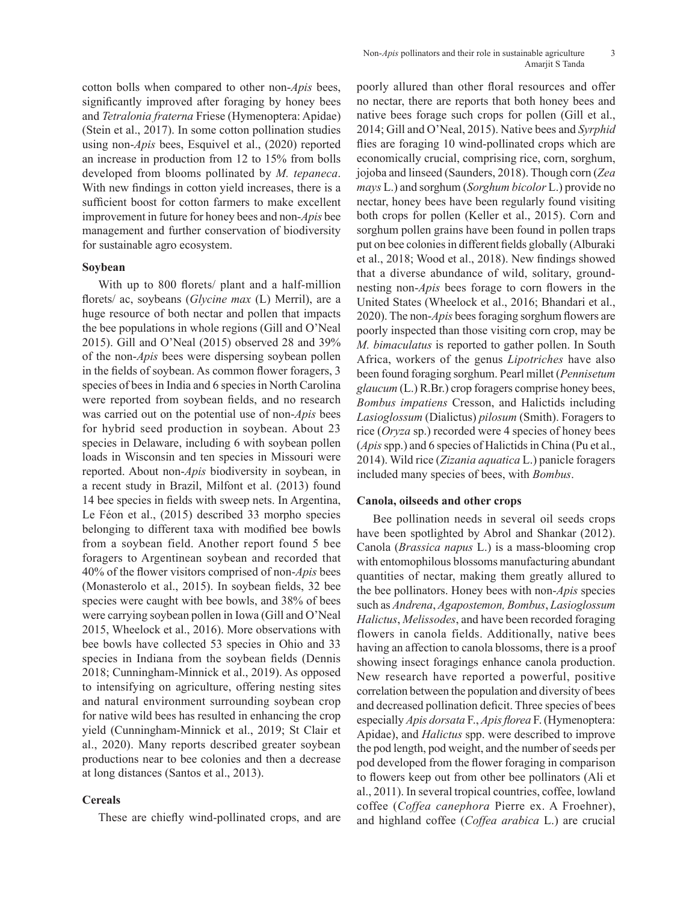cotton bolls when compared to other non-*Apis* bees, significantly improved after foraging by honey bees and *Tetralonia fraterna* Friese (Hymenoptera: Apidae) (Stein et al., 2017). In some cotton pollination studies using non-*Apis* bees, Esquivel et al., (2020) reported an increase in production from 12 to 15% from bolls developed from blooms pollinated by *M. tepaneca*. With new findings in cotton yield increases, there is a sufficient boost for cotton farmers to make excellent improvement in future for honey bees and non-*Apis* bee management and further conservation of biodiversity for sustainable agro ecosystem.

### **Soybean**

With up to 800 florets/ plant and a half-million florets/ ac, soybeans (*Glycine max* (L) Merril), are a huge resource of both nectar and pollen that impacts the bee populations in whole regions (Gill and O'Neal 2015). Gill and O'Neal (2015) observed 28 and 39% of the non-*Apis* bees were dispersing soybean pollen in the fields of soybean. As common flower foragers, 3 species of bees in India and 6 species in North Carolina were reported from soybean fields, and no research was carried out on the potential use of non-*Apis* bees for hybrid seed production in soybean. About 23 species in Delaware, including 6 with soybean pollen loads in Wisconsin and ten species in Missouri were reported. About non-*Apis* biodiversity in soybean, in a recent study in Brazil, Milfont et al. (2013) found 14 bee species in fields with sweep nets. In Argentina, Le Féon et al., (2015) described 33 morpho species belonging to different taxa with modified bee bowls from a soybean field. Another report found 5 bee foragers to Argentinean soybean and recorded that 40% of the flower visitors comprised of non-*Apis* bees (Monasterolo et al., 2015). In soybean fields, 32 bee species were caught with bee bowls, and 38% of bees were carrying soybean pollen in Iowa (Gill and O'Neal 2015, Wheelock et al., 2016). More observations with bee bowls have collected 53 species in Ohio and 33 species in Indiana from the soybean fields (Dennis 2018; Cunningham-Minnick et al., 2019). As opposed to intensifying on agriculture, offering nesting sites and natural environment surrounding soybean crop for native wild bees has resulted in enhancing the crop yield (Cunningham-Minnick et al., 2019; St Clair et al., 2020). Many reports described greater soybean productions near to bee colonies and then a decrease at long distances (Santos et al., 2013).

### **Cereals**

These are chiefly wind-pollinated crops, and are

poorly allured than other floral resources and offer no nectar, there are reports that both honey bees and native bees forage such crops for pollen (Gill et al., 2014; Gill and O'Neal, 2015). Native bees and *Syrphid* flies are foraging 10 wind-pollinated crops which are economically crucial, comprising rice, corn, sorghum, jojoba and linseed (Saunders, 2018). Though corn (*Zea mays* L.) and sorghum (*Sorghum bicolor* L.) provide no nectar, honey bees have been regularly found visiting both crops for pollen (Keller et al., 2015). Corn and sorghum pollen grains have been found in pollen traps put on bee colonies in different fields globally (Alburaki et al., 2018; Wood et al., 2018). New findings showed that a diverse abundance of wild, solitary, groundnesting non-*Apis* bees forage to corn flowers in the United States (Wheelock et al., 2016; Bhandari et al., 2020). The non-*Apis* bees foraging sorghum flowers are poorly inspected than those visiting corn crop, may be *M. bimaculatus* is reported to gather pollen. In South Africa, workers of the genus *Lipotriches* have also been found foraging sorghum. Pearl millet (*Pennisetum glaucum* (L.) R.Br.) crop foragers comprise honey bees, *Bombus impatiens* Cresson, and Halictids including *Lasioglossum* (Dialictus) *pilosum* (Smith). Foragers to rice (*Oryza* sp.) recorded were 4 species of honey bees (*Apis* spp.) and 6 species of Halictids in China (Pu et al., 2014). Wild rice (*Zizania aquatica* L.) panicle foragers included many species of bees, with *Bombus*.

### **Canola, oilseeds and other crops**

Bee pollination needs in several oil seeds crops have been spotlighted by Abrol and Shankar (2012). Canola (*Brassica napus* L.) is a mass-blooming crop with entomophilous blossoms manufacturing abundant quantities of nectar, making them greatly allured to the bee pollinators. Honey bees with non-*Apis* species such as *Andrena*, *Agapostemon, Bombus*, *Lasioglossum Halictus*, *Melissodes*, and have been recorded foraging flowers in canola fields. Additionally, native bees having an affection to canola blossoms, there is a proof showing insect foragings enhance canola production. New research have reported a powerful, positive correlation between the population and diversity of bees and decreased pollination deficit. Three species of bees especially *Apis dorsata* F., *Apis florea* F. (Hymenoptera: Apidae), and *Halictus* spp. were described to improve the pod length, pod weight, and the number of seeds per pod developed from the flower foraging in comparison to flowers keep out from other bee pollinators (Ali et al., 2011). In several tropical countries, coffee, lowland coffee (*Coffea canephora* Pierre ex. A Froehner), and highland coffee (*Coffea arabica* L.) are crucial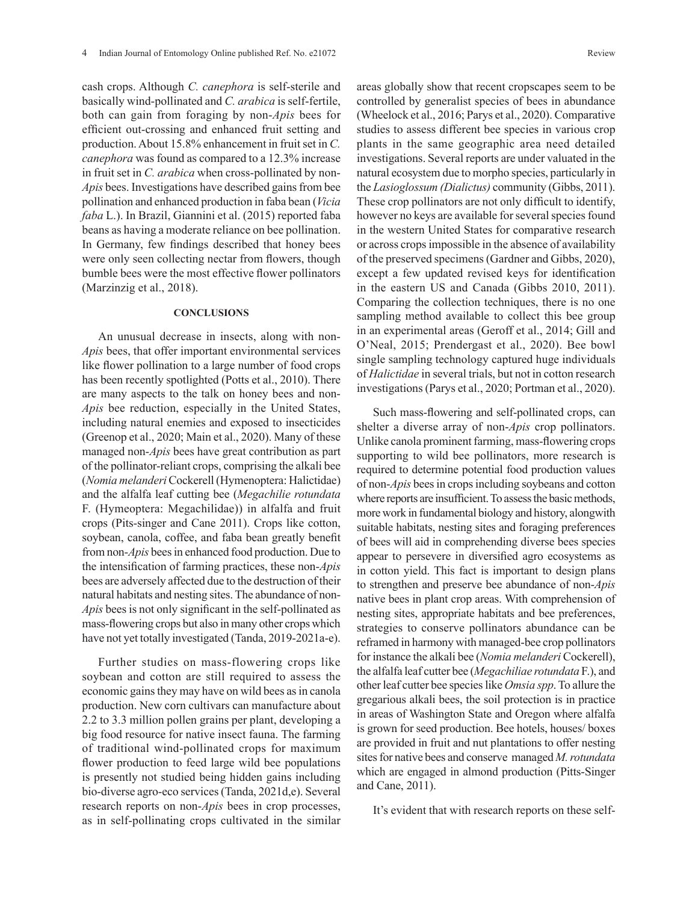cash crops. Although *C. canephora* is self-sterile and basically wind-pollinated and *C. arabica* is self-fertile, both can gain from foraging by non-*Apis* bees for efficient out-crossing and enhanced fruit setting and production. About 15.8% enhancement in fruit set in *C. canephora* was found as compared to a 12.3% increase in fruit set in *C. arabica* when cross-pollinated by non-*Apis* bees. Investigations have described gains from bee pollination and enhanced production in faba bean (*Vicia faba* L.). In Brazil, Giannini et al. (2015) reported faba beans as having a moderate reliance on bee pollination. In Germany, few findings described that honey bees were only seen collecting nectar from flowers, though bumble bees were the most effective flower pollinators (Marzinzig et al., 2018).

#### **CONCLUSIONS**

An unusual decrease in insects, along with non-*Apis* bees, that offer important environmental services like flower pollination to a large number of food crops has been recently spotlighted (Potts et al., 2010). There are many aspects to the talk on honey bees and non-*Apis* bee reduction, especially in the United States, including natural enemies and exposed to insecticides (Greenop et al., 2020; Main et al., 2020). Many of these managed non-*Apis* bees have great contribution as part of the pollinator-reliant crops, comprising the alkali bee (*Nomia melanderi* Cockerell (Hymenoptera: Halictidae) and the alfalfa leaf cutting bee (*Megachilie rotundata* F. (Hymeoptera: Megachilidae)) in alfalfa and fruit crops (Pits-singer and Cane 2011). Crops like cotton, soybean, canola, coffee, and faba bean greatly benefit from non-*Apis* bees in enhanced food production. Due to the intensification of farming practices, these non-*Apis* bees are adversely affected due to the destruction of their natural habitats and nesting sites. The abundance of non-*Apis* bees is not only significant in the self-pollinated as mass-flowering crops but also in many other crops which have not yet totally investigated (Tanda, 2019-2021a-e).

Further studies on mass-flowering crops like soybean and cotton are still required to assess the economic gains they may have on wild bees as in canola production. New corn cultivars can manufacture about 2.2 to 3.3 million pollen grains per plant, developing a big food resource for native insect fauna. The farming of traditional wind-pollinated crops for maximum flower production to feed large wild bee populations is presently not studied being hidden gains including bio-diverse agro-eco services (Tanda, 2021d,e). Several research reports on non-*Apis* bees in crop processes, as in self-pollinating crops cultivated in the similar areas globally show that recent cropscapes seem to be controlled by generalist species of bees in abundance (Wheelock et al., 2016; Parys et al., 2020). Comparative studies to assess different bee species in various crop plants in the same geographic area need detailed investigations. Several reports are under valuated in the natural ecosystem due to morpho species, particularly in the *Lasioglossum (Dialictus)* community (Gibbs, 2011). These crop pollinators are not only difficult to identify, however no keys are available for several species found in the western United States for comparative research or across crops impossible in the absence of availability of the preserved specimens (Gardner and Gibbs, 2020), except a few updated revised keys for identification in the eastern US and Canada (Gibbs 2010, 2011). Comparing the collection techniques, there is no one sampling method available to collect this bee group in an experimental areas (Geroff et al., 2014; Gill and O'Neal, 2015; Prendergast et al., 2020). Bee bowl single sampling technology captured huge individuals of *Halictidae* in several trials, but not in cotton research investigations (Parys et al., 2020; Portman et al., 2020).

Such mass-flowering and self-pollinated crops, can shelter a diverse array of non-*Apis* crop pollinators. Unlike canola prominent farming, mass-flowering crops supporting to wild bee pollinators, more research is required to determine potential food production values of non-*Apis* bees in crops including soybeans and cotton where reports are insufficient. To assess the basic methods, more work in fundamental biology and history, alongwith suitable habitats, nesting sites and foraging preferences of bees will aid in comprehending diverse bees species appear to persevere in diversified agro ecosystems as in cotton yield. This fact is important to design plans to strengthen and preserve bee abundance of non-*Apis* native bees in plant crop areas. With comprehension of nesting sites, appropriate habitats and bee preferences, strategies to conserve pollinators abundance can be reframed in harmony with managed-bee crop pollinators for instance the alkali bee (*Nomia melanderi* Cockerell), the alfalfa leaf cutter bee (*Megachiliae rotundata* F.), and other leaf cutter bee species like *Omsia spp*. To allure the gregarious alkali bees, the soil protection is in practice in areas of Washington State and Oregon where alfalfa is grown for seed production. Bee hotels, houses/ boxes are provided in fruit and nut plantations to offer nesting sites for native bees and conserve managed *M. rotundata* which are engaged in almond production (Pitts-Singer and Cane, 2011).

It's evident that with research reports on these self-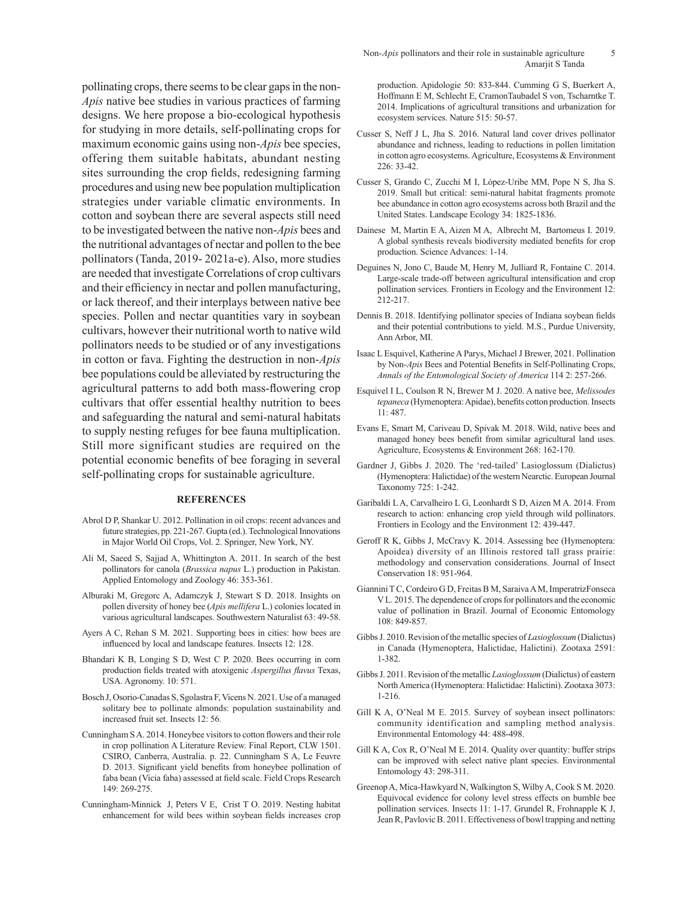pollinating crops, there seems to be clear gaps in the non-*Apis* native bee studies in various practices of farming designs. We here propose a bio-ecological hypothesis for studying in more details, self-pollinating crops for maximum economic gains using non-*Apis* bee species, offering them suitable habitats, abundant nesting sites surrounding the crop fields, redesigning farming procedures and using new bee population multiplication strategies under variable climatic environments. In cotton and soybean there are several aspects still need to be investigated between the native non-*Apis* bees and the nutritional advantages of nectar and pollen to the bee pollinators (Tanda, 2019- 2021a-e). Also, more studies are needed that investigate Correlations of crop cultivars and their efficiency in nectar and pollen manufacturing, or lack thereof, and their interplays between native bee species. Pollen and nectar quantities vary in soybean cultivars, however their nutritional worth to native wild pollinators needs to be studied or of any investigations in cotton or fava. Fighting the destruction in non-*Apis* bee populations could be alleviated by restructuring the agricultural patterns to add both mass-flowering crop cultivars that offer essential healthy nutrition to bees and safeguarding the natural and semi-natural habitats to supply nesting refuges for bee fauna multiplication. Still more significant studies are required on the potential economic benefits of bee foraging in several self-pollinating crops for sustainable agriculture.

#### **REFERENCES**

- Abrol D P, Shankar U. 2012. Pollination in oil crops: recent advances and future strategies, pp. 221-267. Gupta (ed.). Technological Innovations in Major World Oil Crops, Vol. 2. Springer, New York, NY.
- Ali M, Saeed S, Sajjad A, Whittington A. 2011. In search of the best pollinators for canola (*Brassica napus* L.) production in Pakistan. Applied Entomology and Zoology 46: 353-361.
- Alburaki M, Gregorc A, Adamczyk J, Stewart S D. 2018. Insights on pollen diversity of honey bee (*Apis mellifera* L.) colonies located in various agricultural landscapes. Southwestern Naturalist 63: 49-58.
- Ayers A C, Rehan S M. 2021. Supporting bees in cities: how bees are influenced by local and landscape features. Insects 12: 128.
- Bhandari K B, Longing S D, West C P. 2020. Bees occurring in corn production fields treated with atoxigenic *Aspergillus flavus* Texas, USA. Agronomy. 10: 571.
- Bosch J, Osorio-Canadas S, Sgolastra F, Vicens N. 2021. Use of a managed solitary bee to pollinate almonds: population sustainability and increased fruit set. Insects 12: 56*.*
- Cunningham S A. 2014. Honeybee visitors to cotton flowers and their role in crop pollination A Literature Review. Final Report, CLW 1501. CSIRO, Canberra, Australia. p. 22. Cunningham S A, Le Feuvre D. 2013. Significant yield benefits from honeybee pollination of faba bean (Vicia faba) assessed at field scale. Field Crops Research 149: 269-275.
- Cunningham-Minnick J, Peters V E, Crist T O. 2019. Nesting habitat enhancement for wild bees within soybean fields increases crop

production. Apidologie 50: 833-844. Cumming G S, Buerkert A, Hoffmann E M, Schlecht E, CramonTaubadel S von, Tscharntke T. 2014. Implications of agricultural transitions and urbanization for ecosystem services. Nature 515: 50-57.

- Cusser S, Neff J L, Jha S. 2016. Natural land cover drives pollinator abundance and richness, leading to reductions in pollen limitation in cotton agro ecosystems. Agriculture, Ecosystems & Environment 226: 33-42.
- Cusser S, Grando C, Zucchi M I, López-Uribe MM, Pope N S, Jha S. 2019. Small but critical: semi-natural habitat fragments promote bee abundance in cotton agro ecosystems across both Brazil and the United States. Landscape Ecology 34: 1825-1836.
- Dainese M, Martin E A, Aizen M A, Albrecht M, Bartomeus I. 2019. A global synthesis reveals biodiversity mediated benefits for crop production. Science Advances: 1-14.
- Deguines N, Jono C, Baude M, Henry M, Julliard R, Fontaine C. 2014. Large-scale trade-off between agricultural intensification and crop pollination services. Frontiers in Ecology and the Environment 12: 212-217.
- Dennis B. 2018. Identifying pollinator species of Indiana soybean fields and their potential contributions to yield. M.S., Purdue University, Ann Arbor, MI.
- Isaac L Esquivel, Katherine A Parys, Michael J Brewer, 2021. Pollination by Non-*Apis* Bees and Potential Benefits in Self-Pollinating Crops, *Annals of the Entomological Society of America* 114 2: 257-266.
- Esquivel I L, Coulson R N, Brewer M J. 2020. A native bee, *Melissodes tepaneca* (Hymenoptera: Apidae), benefits cotton production. Insects 11: 487.
- Evans E, Smart M, Cariveau D, Spivak M. 2018. Wild, native bees and managed honey bees benefit from similar agricultural land uses. Agriculture, Ecosystems & Environment 268: 162-170.
- Gardner J, Gibbs J. 2020. The 'red-tailed' Lasioglossum (Dialictus) (Hymenoptera: Halictidae) of the western Nearctic. European Journal Taxonomy 725: 1-242.
- Garibaldi L A, Carvalheiro L G, Leonhardt S D, Aizen M A. 2014. From research to action: enhancing crop yield through wild pollinators. Frontiers in Ecology and the Environment 12: 439-447.
- Geroff R K, Gibbs J, McCravy K. 2014. Assessing bee (Hymenoptera: Apoidea) diversity of an Illinois restored tall grass prairie: methodology and conservation considerations. Journal of Insect Conservation 18: 951-964.
- Giannini T C, Cordeiro G D, Freitas B M, Saraiva A M, ImperatrizFonseca V L. 2015. The dependence of crops for pollinators and the economic value of pollination in Brazil. Journal of Economic Entomology 108: 849-857.
- Gibbs J. 2010. Revision of the metallic species of *Lasioglossum* (Dialictus) in Canada (Hymenoptera, Halictidae, Halictini). Zootaxa 2591: 1-382.
- Gibbs J. 2011. Revision of the metallic *Lasioglossum* (Dialictus) of eastern North America (Hymenoptera: Halictidae: Halictini). Zootaxa 3073: 1-216.
- Gill K A, O'Neal M E. 2015. Survey of soybean insect pollinators: community identification and sampling method analysis. Environmental Entomology 44: 488-498.
- Gill K A, Cox R, O'Neal M E. 2014. Quality over quantity: buffer strips can be improved with select native plant species. Environmental Entomology 43: 298-311.
- Greenop A, Mica-Hawkyard N, Walkington S, Wilby A, Cook S M. 2020. Equivocal evidence for colony level stress effects on bumble bee pollination services. Insects 11: 1-17. Grundel R, Frohnapple K J, Jean R, Pavlovic B. 2011. Effectiveness of bowl trapping and netting